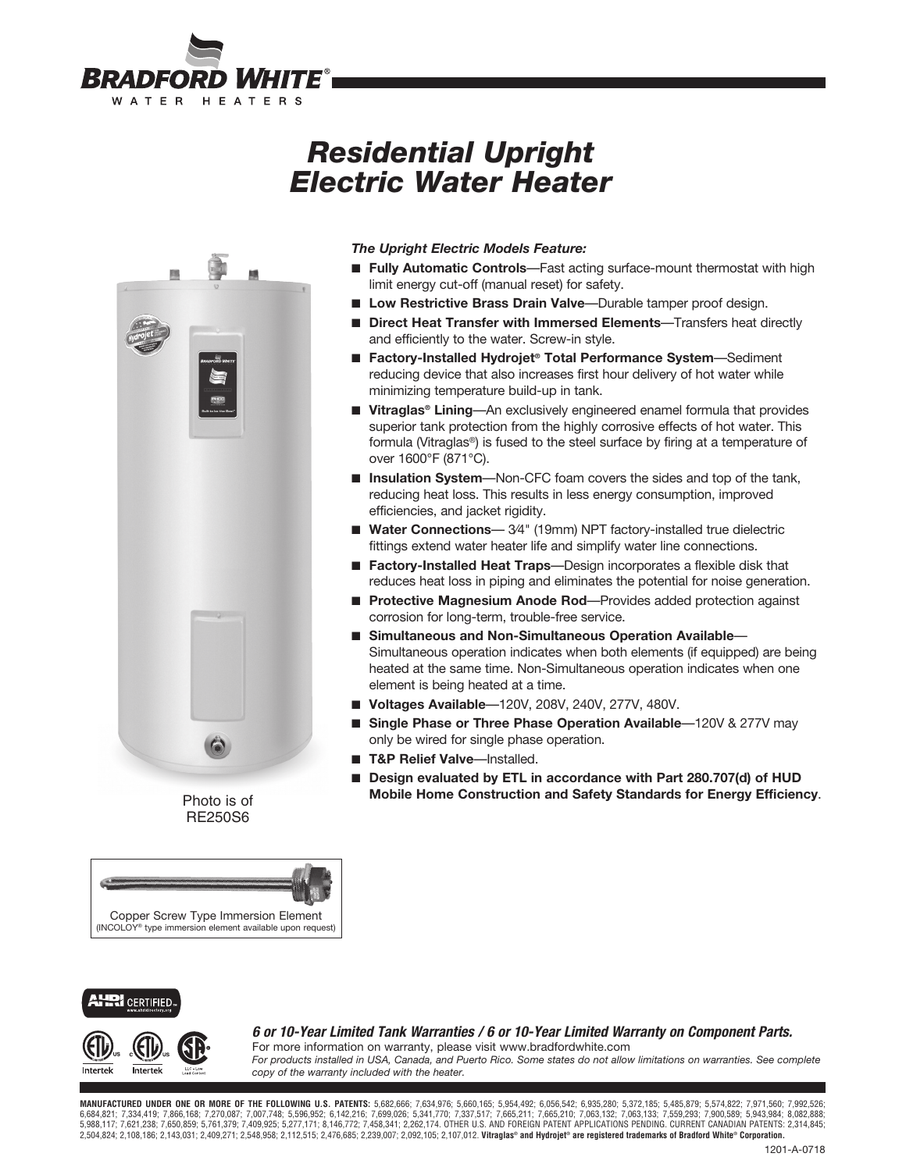

# *Residential Upright Electric Water Heater*



Photo is of RE250S6



#### *The Upright Electric Models Feature:*

- **Fully Automatic Controls**—Fast acting surface-mount thermostat with high limit energy cut-off (manual reset) for safety.
- Low Restrictive Brass Drain Valve—Durable tamper proof design.
- **Direct Heat Transfer with Immersed Elements**—Transfers heat directly and efficiently to the water. Screw-in style.
- **Factory-Installed Hydrojet<sup>®</sup> Total Performance System—Sediment** reducing device that also increases first hour delivery of hot water while minimizing temperature build-up in tank.
- Vitraglas<sup>®</sup> Lining—An exclusively engineered enamel formula that provides superior tank protection from the highly corrosive effects of hot water. This formula (Vitraglas®) is fused to the steel surface by firing at a temperature of over 1600°F (871°C).
- **Insulation System**—Non-CFC foam covers the sides and top of the tank, reducing heat loss. This results in less energy consumption, improved efficiencies, and jacket rigidity.
- Water Connections-34" (19mm) NPT factory-installed true dielectric fittings extend water heater life and simplify water line connections.
- **Factory-Installed Heat Traps**—Design incorporates a flexible disk that reduces heat loss in piping and eliminates the potential for noise generation.
- **Protective Magnesium Anode Rod**—Provides added protection against corrosion for long-term, trouble-free service.
- Simultaneous and Non-Simultaneous Operation Available— Simultaneous operation indicates when both elements (if equipped) are being heated at the same time. Non-Simultaneous operation indicates when one element is being heated at a time.
- **Voltages Available**—120V, 208V, 240V, 277V, 480V.
- Single Phase or Three Phase Operation Available-120V & 277V may only be wired for single phase operation.
- **T&P Relief Valve**—Installed.
- Design evaluated by ETL in accordance with Part 280.707(d) of HUD **Mobile Home Construction and Safety Standards for Energy Efficiency**.





*6 or 10-Year Limited Tank Warranties / 6 or 10-Year Limited Warranty on Component Parts.* For more information on warranty, please visit www.bradfordwhite.com

*For products installed in USA, Canada, and Puerto Rico. Some states do not allow limitations on warranties. See complete copy of the warranty included with the heater.*

**MANUFACTURED UNDER ONE OR MORE OF THE FOLLOWING U.S. PATENTS:** 5,682,666; 7,634,976; 5,660,165; 5,954,492; 6,056,542; 6,935,280; 5,372,185; 5,485,879; 5,574,822; 7,971,560; 7,992,526; 6,684,821; 7,334,419; 7,866,168; 7,270,087; 7,007,748; 5,596,952; 6,142,216; 7,699,026; 5,341,770; 7,337,517; 7,665,211; 7,665,210; 7,063,132; 7,063,133; 7,559,293; 7,900,589; 5,903,894; 8,082,888; 6,8943, 8,082,888; 5,761 2,504,824; 2,108,186; 2,143,031; 2,409,271; 2,548,958; 2,112,515; 2,476,685; 2,239,007; 2,092,105; 2,107,012. **Vitraglas® and Hydrojet® are registered trademarks of Bradford White® Corporation.**